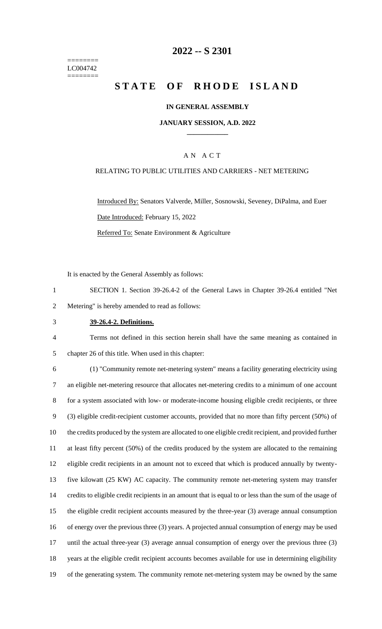======== LC004742 ========

## **2022 -- S 2301**

# **STATE OF RHODE ISLAND**

### **IN GENERAL ASSEMBLY**

#### **JANUARY SESSION, A.D. 2022 \_\_\_\_\_\_\_\_\_\_\_\_**

### A N A C T

### RELATING TO PUBLIC UTILITIES AND CARRIERS - NET METERING

Introduced By: Senators Valverde, Miller, Sosnowski, Seveney, DiPalma, and Euer Date Introduced: February 15, 2022 Referred To: Senate Environment & Agriculture

It is enacted by the General Assembly as follows:

- 1 SECTION 1. Section 39-26.4-2 of the General Laws in Chapter 39-26.4 entitled "Net 2 Metering" is hereby amended to read as follows:
- 3 **39-26.4-2. Definitions.**

4 Terms not defined in this section herein shall have the same meaning as contained in 5 chapter 26 of this title. When used in this chapter:

 (1) "Community remote net-metering system" means a facility generating electricity using an eligible net-metering resource that allocates net-metering credits to a minimum of one account for a system associated with low- or moderate-income housing eligible credit recipients, or three (3) eligible credit-recipient customer accounts, provided that no more than fifty percent (50%) of the credits produced by the system are allocated to one eligible credit recipient, and provided further at least fifty percent (50%) of the credits produced by the system are allocated to the remaining eligible credit recipients in an amount not to exceed that which is produced annually by twenty- five kilowatt (25 KW) AC capacity. The community remote net-metering system may transfer credits to eligible credit recipients in an amount that is equal to or less than the sum of the usage of the eligible credit recipient accounts measured by the three-year (3) average annual consumption of energy over the previous three (3) years. A projected annual consumption of energy may be used 17 until the actual three-year (3) average annual consumption of energy over the previous three (3) years at the eligible credit recipient accounts becomes available for use in determining eligibility of the generating system. The community remote net-metering system may be owned by the same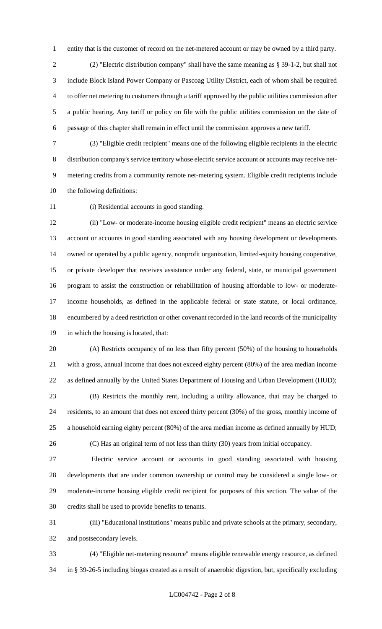entity that is the customer of record on the net-metered account or may be owned by a third party.

 (2) "Electric distribution company" shall have the same meaning as § 39-1-2, but shall not include Block Island Power Company or Pascoag Utility District, each of whom shall be required to offer net metering to customers through a tariff approved by the public utilities commission after a public hearing. Any tariff or policy on file with the public utilities commission on the date of passage of this chapter shall remain in effect until the commission approves a new tariff.

 (3) "Eligible credit recipient" means one of the following eligible recipients in the electric distribution company's service territory whose electric service account or accounts may receive net- metering credits from a community remote net-metering system. Eligible credit recipients include the following definitions:

(i) Residential accounts in good standing.

 (ii) "Low- or moderate-income housing eligible credit recipient" means an electric service account or accounts in good standing associated with any housing development or developments owned or operated by a public agency, nonprofit organization, limited-equity housing cooperative, or private developer that receives assistance under any federal, state, or municipal government program to assist the construction or rehabilitation of housing affordable to low- or moderate- income households, as defined in the applicable federal or state statute, or local ordinance, encumbered by a deed restriction or other covenant recorded in the land records of the municipality in which the housing is located, that:

 (A) Restricts occupancy of no less than fifty percent (50%) of the housing to households with a gross, annual income that does not exceed eighty percent (80%) of the area median income as defined annually by the United States Department of Housing and Urban Development (HUD); (B) Restricts the monthly rent, including a utility allowance, that may be charged to

 residents, to an amount that does not exceed thirty percent (30%) of the gross, monthly income of a household earning eighty percent (80%) of the area median income as defined annually by HUD;

(C) Has an original term of not less than thirty (30) years from initial occupancy.

 Electric service account or accounts in good standing associated with housing developments that are under common ownership or control may be considered a single low- or moderate-income housing eligible credit recipient for purposes of this section. The value of the credits shall be used to provide benefits to tenants.

 (iii) "Educational institutions" means public and private schools at the primary, secondary, and postsecondary levels.

 (4) "Eligible net-metering resource" means eligible renewable energy resource, as defined in § 39-26-5 including biogas created as a result of anaerobic digestion, but, specifically excluding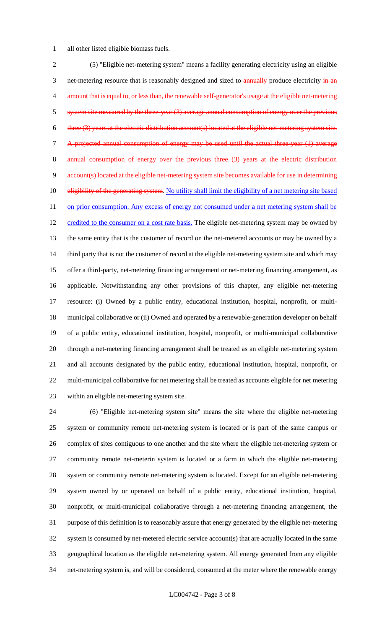all other listed eligible biomass fuels.

 (5) "Eligible net-metering system" means a facility generating electricity using an eligible 3 net-metering resource that is reasonably designed and sized to **annually** produce electricity in an 4 amount that is equal to, or less than, the renewable self-generator's usage at the eligible net-metering 5 system site measured by the three-year (3) average annual consumption of energy over the previous 6 three (3) years at the electric distribution account(s) located at the eligible net-metering system site. A projected annual consumption of energy may be used until the actual three-year (3) average 8 annual consumption of energy over the previous three (3) years at the account(s) located at the eligible net-metering system site becomes available for use in determining 10 eligibility of the generating system. No utility shall limit the eligibility of a net metering site based 11 on prior consumption. Any excess of energy not consumed under a net metering system shall be 12 credited to the consumer on a cost rate basis. The eligible net-metering system may be owned by the same entity that is the customer of record on the net-metered accounts or may be owned by a 14 third party that is not the customer of record at the eligible net-metering system site and which may offer a third-party, net-metering financing arrangement or net-metering financing arrangement, as applicable. Notwithstanding any other provisions of this chapter, any eligible net-metering resource: (i) Owned by a public entity, educational institution, hospital, nonprofit, or multi- municipal collaborative or (ii) Owned and operated by a renewable-generation developer on behalf of a public entity, educational institution, hospital, nonprofit, or multi-municipal collaborative through a net-metering financing arrangement shall be treated as an eligible net-metering system and all accounts designated by the public entity, educational institution, hospital, nonprofit, or multi-municipal collaborative for net metering shall be treated as accounts eligible for net metering within an eligible net-metering system site.

 (6) "Eligible net-metering system site" means the site where the eligible net-metering system or community remote net-metering system is located or is part of the same campus or complex of sites contiguous to one another and the site where the eligible net-metering system or community remote net-meterin system is located or a farm in which the eligible net-metering system or community remote net-metering system is located. Except for an eligible net-metering system owned by or operated on behalf of a public entity, educational institution, hospital, nonprofit, or multi-municipal collaborative through a net-metering financing arrangement, the purpose of this definition is to reasonably assure that energy generated by the eligible net-metering system is consumed by net-metered electric service account(s) that are actually located in the same geographical location as the eligible net-metering system. All energy generated from any eligible net-metering system is, and will be considered, consumed at the meter where the renewable energy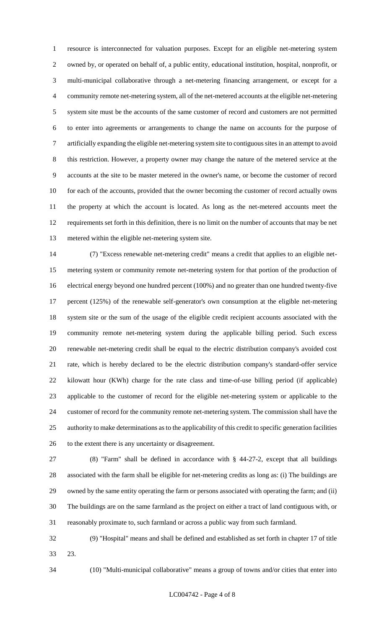resource is interconnected for valuation purposes. Except for an eligible net-metering system owned by, or operated on behalf of, a public entity, educational institution, hospital, nonprofit, or multi-municipal collaborative through a net-metering financing arrangement, or except for a community remote net-metering system, all of the net-metered accounts at the eligible net-metering system site must be the accounts of the same customer of record and customers are not permitted to enter into agreements or arrangements to change the name on accounts for the purpose of artificially expanding the eligible net-metering system site to contiguous sites in an attempt to avoid this restriction. However, a property owner may change the nature of the metered service at the accounts at the site to be master metered in the owner's name, or become the customer of record 10 for each of the accounts, provided that the owner becoming the customer of record actually owns the property at which the account is located. As long as the net-metered accounts meet the requirements set forth in this definition, there is no limit on the number of accounts that may be net metered within the eligible net-metering system site.

 (7) "Excess renewable net-metering credit" means a credit that applies to an eligible net- metering system or community remote net-metering system for that portion of the production of electrical energy beyond one hundred percent (100%) and no greater than one hundred twenty-five percent (125%) of the renewable self-generator's own consumption at the eligible net-metering system site or the sum of the usage of the eligible credit recipient accounts associated with the community remote net-metering system during the applicable billing period. Such excess renewable net-metering credit shall be equal to the electric distribution company's avoided cost rate, which is hereby declared to be the electric distribution company's standard-offer service kilowatt hour (KWh) charge for the rate class and time-of-use billing period (if applicable) applicable to the customer of record for the eligible net-metering system or applicable to the customer of record for the community remote net-metering system. The commission shall have the authority to make determinations as to the applicability of this credit to specific generation facilities to the extent there is any uncertainty or disagreement.

 (8) "Farm" shall be defined in accordance with § 44-27-2, except that all buildings associated with the farm shall be eligible for net-metering credits as long as: (i) The buildings are owned by the same entity operating the farm or persons associated with operating the farm; and (ii) The buildings are on the same farmland as the project on either a tract of land contiguous with, or reasonably proximate to, such farmland or across a public way from such farmland.

 (9) "Hospital" means and shall be defined and established as set forth in chapter 17 of title 23.

(10) "Multi-municipal collaborative" means a group of towns and/or cities that enter into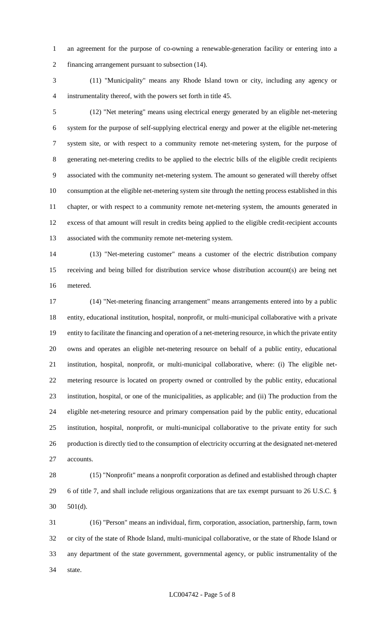an agreement for the purpose of co-owning a renewable-generation facility or entering into a financing arrangement pursuant to subsection (14).

 (11) "Municipality" means any Rhode Island town or city, including any agency or instrumentality thereof, with the powers set forth in title 45.

 (12) "Net metering" means using electrical energy generated by an eligible net-metering system for the purpose of self-supplying electrical energy and power at the eligible net-metering system site, or with respect to a community remote net-metering system, for the purpose of generating net-metering credits to be applied to the electric bills of the eligible credit recipients associated with the community net-metering system. The amount so generated will thereby offset consumption at the eligible net-metering system site through the netting process established in this chapter, or with respect to a community remote net-metering system, the amounts generated in excess of that amount will result in credits being applied to the eligible credit-recipient accounts associated with the community remote net-metering system.

 (13) "Net-metering customer" means a customer of the electric distribution company receiving and being billed for distribution service whose distribution account(s) are being net metered.

 (14) "Net-metering financing arrangement" means arrangements entered into by a public entity, educational institution, hospital, nonprofit, or multi-municipal collaborative with a private entity to facilitate the financing and operation of a net-metering resource, in which the private entity owns and operates an eligible net-metering resource on behalf of a public entity, educational institution, hospital, nonprofit, or multi-municipal collaborative, where: (i) The eligible net- metering resource is located on property owned or controlled by the public entity, educational institution, hospital, or one of the municipalities, as applicable; and (ii) The production from the eligible net-metering resource and primary compensation paid by the public entity, educational institution, hospital, nonprofit, or multi-municipal collaborative to the private entity for such production is directly tied to the consumption of electricity occurring at the designated net-metered accounts.

 (15) "Nonprofit" means a nonprofit corporation as defined and established through chapter 6 of title 7, and shall include religious organizations that are tax exempt pursuant to 26 U.S.C. § 501(d).

 (16) "Person" means an individual, firm, corporation, association, partnership, farm, town or city of the state of Rhode Island, multi-municipal collaborative, or the state of Rhode Island or any department of the state government, governmental agency, or public instrumentality of the state.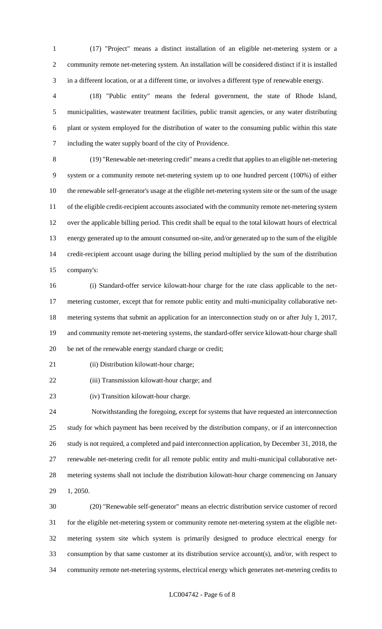(17) "Project" means a distinct installation of an eligible net-metering system or a community remote net-metering system. An installation will be considered distinct if it is installed in a different location, or at a different time, or involves a different type of renewable energy.

 (18) "Public entity" means the federal government, the state of Rhode Island, municipalities, wastewater treatment facilities, public transit agencies, or any water distributing plant or system employed for the distribution of water to the consuming public within this state including the water supply board of the city of Providence.

 (19) "Renewable net-metering credit" means a credit that applies to an eligible net-metering system or a community remote net-metering system up to one hundred percent (100%) of either the renewable self-generator's usage at the eligible net-metering system site or the sum of the usage of the eligible credit-recipient accounts associated with the community remote net-metering system over the applicable billing period. This credit shall be equal to the total kilowatt hours of electrical energy generated up to the amount consumed on-site, and/or generated up to the sum of the eligible credit-recipient account usage during the billing period multiplied by the sum of the distribution company's:

 (i) Standard-offer service kilowatt-hour charge for the rate class applicable to the net- metering customer, except that for remote public entity and multi-municipality collaborative net- metering systems that submit an application for an interconnection study on or after July 1, 2017, and community remote net-metering systems, the standard-offer service kilowatt-hour charge shall be net of the renewable energy standard charge or credit;

21 (ii) Distribution kilowatt-hour charge;

(iii) Transmission kilowatt-hour charge; and

(iv) Transition kilowatt-hour charge.

 Notwithstanding the foregoing, except for systems that have requested an interconnection study for which payment has been received by the distribution company, or if an interconnection study is not required, a completed and paid interconnection application, by December 31, 2018, the renewable net-metering credit for all remote public entity and multi-municipal collaborative net- metering systems shall not include the distribution kilowatt-hour charge commencing on January 1, 2050.

 (20) "Renewable self-generator" means an electric distribution service customer of record for the eligible net-metering system or community remote net-metering system at the eligible net- metering system site which system is primarily designed to produce electrical energy for consumption by that same customer at its distribution service account(s), and/or, with respect to community remote net-metering systems, electrical energy which generates net-metering credits to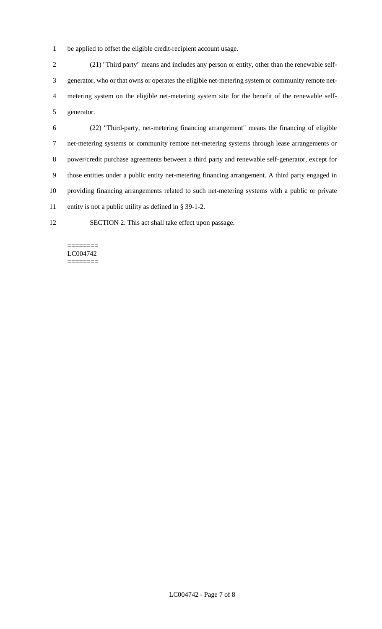be applied to offset the eligible credit-recipient account usage.

 (21) "Third party" means and includes any person or entity, other than the renewable self- generator, who or that owns or operates the eligible net-metering system or community remote net- metering system on the eligible net-metering system site for the benefit of the renewable self-generator.

 (22) "Third-party, net-metering financing arrangement" means the financing of eligible net-metering systems or community remote net-metering systems through lease arrangements or power/credit purchase agreements between a third party and renewable self-generator, except for those entities under a public entity net-metering financing arrangement. A third party engaged in providing financing arrangements related to such net-metering systems with a public or private entity is not a public utility as defined in § 39-1-2.

SECTION 2. This act shall take effect upon passage.

#### ======== LC004742 ========